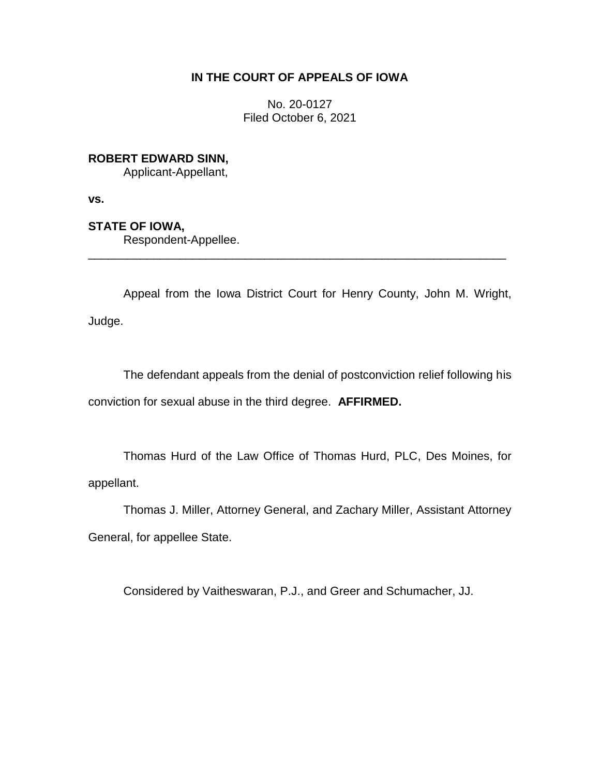# **IN THE COURT OF APPEALS OF IOWA**

No. 20-0127 Filed October 6, 2021

**ROBERT EDWARD SINN,**

Applicant-Appellant,

**vs.**

**STATE OF IOWA,**

Respondent-Appellee.

Appeal from the Iowa District Court for Henry County, John M. Wright, Judge.

\_\_\_\_\_\_\_\_\_\_\_\_\_\_\_\_\_\_\_\_\_\_\_\_\_\_\_\_\_\_\_\_\_\_\_\_\_\_\_\_\_\_\_\_\_\_\_\_\_\_\_\_\_\_\_\_\_\_\_\_\_\_\_\_

The defendant appeals from the denial of postconviction relief following his conviction for sexual abuse in the third degree. **AFFIRMED.** 

Thomas Hurd of the Law Office of Thomas Hurd, PLC, Des Moines, for appellant.

Thomas J. Miller, Attorney General, and Zachary Miller, Assistant Attorney General, for appellee State.

Considered by Vaitheswaran, P.J., and Greer and Schumacher, JJ.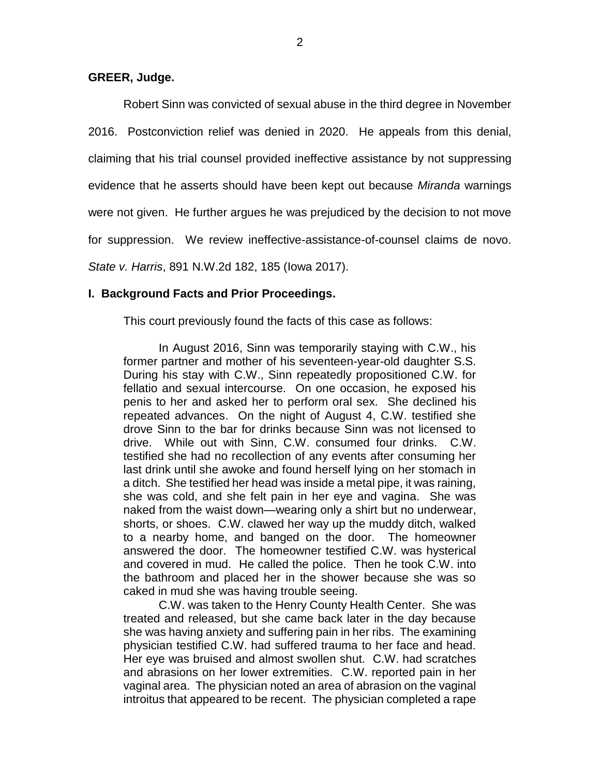## **GREER, Judge.**

Robert Sinn was convicted of sexual abuse in the third degree in November 2016. Postconviction relief was denied in 2020. He appeals from this denial, claiming that his trial counsel provided ineffective assistance by not suppressing evidence that he asserts should have been kept out because *Miranda* warnings were not given. He further argues he was prejudiced by the decision to not move for suppression. We review ineffective-assistance-of-counsel claims de novo. *State v. Harris*, 891 N.W.2d 182, 185 (Iowa 2017).

## **I. Background Facts and Prior Proceedings.**

This court previously found the facts of this case as follows:

In August 2016, Sinn was temporarily staying with C.W., his former partner and mother of his seventeen-year-old daughter S.S. During his stay with C.W., Sinn repeatedly propositioned C.W. for fellatio and sexual intercourse. On one occasion, he exposed his penis to her and asked her to perform oral sex. She declined his repeated advances. On the night of August 4, C.W. testified she drove Sinn to the bar for drinks because Sinn was not licensed to drive. While out with Sinn, C.W. consumed four drinks. C.W. testified she had no recollection of any events after consuming her last drink until she awoke and found herself lying on her stomach in a ditch. She testified her head was inside a metal pipe, it was raining, she was cold, and she felt pain in her eye and vagina. She was naked from the waist down—wearing only a shirt but no underwear, shorts, or shoes. C.W. clawed her way up the muddy ditch, walked to a nearby home, and banged on the door. The homeowner answered the door. The homeowner testified C.W. was hysterical and covered in mud. He called the police. Then he took C.W. into the bathroom and placed her in the shower because she was so caked in mud she was having trouble seeing.

C.W. was taken to the Henry County Health Center. She was treated and released, but she came back later in the day because she was having anxiety and suffering pain in her ribs. The examining physician testified C.W. had suffered trauma to her face and head. Her eye was bruised and almost swollen shut. C.W. had scratches and abrasions on her lower extremities. C.W. reported pain in her vaginal area. The physician noted an area of abrasion on the vaginal introitus that appeared to be recent. The physician completed a rape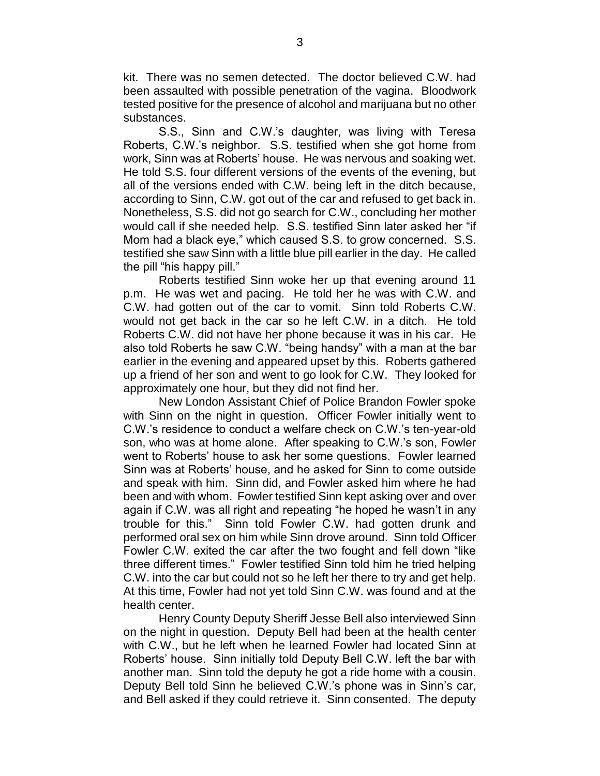kit. There was no semen detected. The doctor believed C.W. had been assaulted with possible penetration of the vagina. Bloodwork tested positive for the presence of alcohol and marijuana but no other substances.

S.S., Sinn and C.W.'s daughter, was living with Teresa Roberts, C.W.'s neighbor. S.S. testified when she got home from work, Sinn was at Roberts' house. He was nervous and soaking wet. He told S.S. four different versions of the events of the evening, but all of the versions ended with C.W. being left in the ditch because, according to Sinn, C.W. got out of the car and refused to get back in. Nonetheless, S.S. did not go search for C.W., concluding her mother would call if she needed help. S.S. testified Sinn later asked her "if Mom had a black eye," which caused S.S. to grow concerned. S.S. testified she saw Sinn with a little blue pill earlier in the day. He called the pill "his happy pill."

Roberts testified Sinn woke her up that evening around 11 p.m. He was wet and pacing. He told her he was with C.W. and C.W. had gotten out of the car to vomit. Sinn told Roberts C.W. would not get back in the car so he left C.W. in a ditch. He told Roberts C.W. did not have her phone because it was in his car. He also told Roberts he saw C.W. "being handsy" with a man at the bar earlier in the evening and appeared upset by this. Roberts gathered up a friend of her son and went to go look for C.W. They looked for approximately one hour, but they did not find her.

New London Assistant Chief of Police Brandon Fowler spoke with Sinn on the night in question. Officer Fowler initially went to C.W.'s residence to conduct a welfare check on C.W.'s ten-year-old son, who was at home alone. After speaking to C.W.'s son, Fowler went to Roberts' house to ask her some questions. Fowler learned Sinn was at Roberts' house, and he asked for Sinn to come outside and speak with him. Sinn did, and Fowler asked him where he had been and with whom. Fowler testified Sinn kept asking over and over again if C.W. was all right and repeating "he hoped he wasn't in any trouble for this." Sinn told Fowler C.W. had gotten drunk and performed oral sex on him while Sinn drove around. Sinn told Officer Fowler C.W. exited the car after the two fought and fell down "like three different times." Fowler testified Sinn told him he tried helping C.W. into the car but could not so he left her there to try and get help. At this time, Fowler had not yet told Sinn C.W. was found and at the health center.

Henry County Deputy Sheriff Jesse Bell also interviewed Sinn on the night in question. Deputy Bell had been at the health center with C.W., but he left when he learned Fowler had located Sinn at Roberts' house. Sinn initially told Deputy Bell C.W. left the bar with another man. Sinn told the deputy he got a ride home with a cousin. Deputy Bell told Sinn he believed C.W.'s phone was in Sinn's car, and Bell asked if they could retrieve it. Sinn consented. The deputy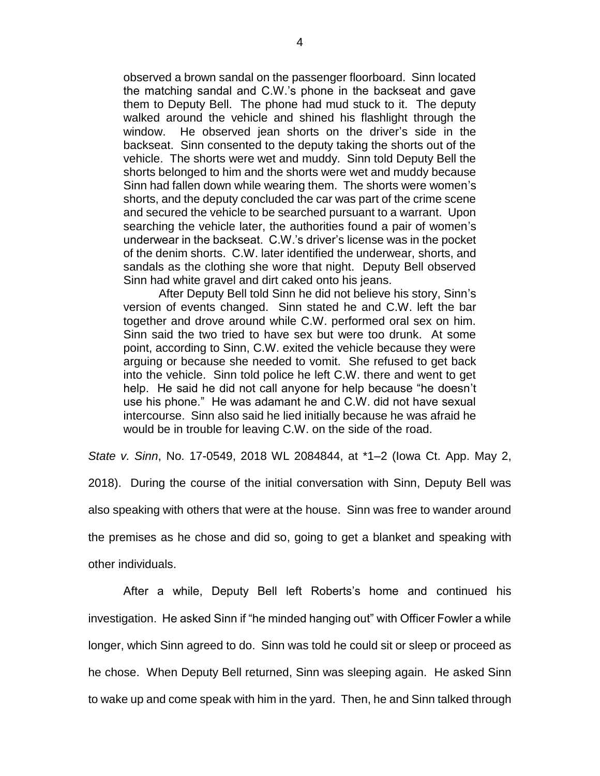observed a brown sandal on the passenger floorboard. Sinn located the matching sandal and C.W.'s phone in the backseat and gave them to Deputy Bell. The phone had mud stuck to it. The deputy walked around the vehicle and shined his flashlight through the window. He observed jean shorts on the driver's side in the backseat. Sinn consented to the deputy taking the shorts out of the vehicle. The shorts were wet and muddy. Sinn told Deputy Bell the shorts belonged to him and the shorts were wet and muddy because Sinn had fallen down while wearing them. The shorts were women's shorts, and the deputy concluded the car was part of the crime scene and secured the vehicle to be searched pursuant to a warrant. Upon searching the vehicle later, the authorities found a pair of women's underwear in the backseat. C.W.'s driver's license was in the pocket of the denim shorts. C.W. later identified the underwear, shorts, and sandals as the clothing she wore that night. Deputy Bell observed Sinn had white gravel and dirt caked onto his jeans.

After Deputy Bell told Sinn he did not believe his story, Sinn's version of events changed. Sinn stated he and C.W. left the bar together and drove around while C.W. performed oral sex on him. Sinn said the two tried to have sex but were too drunk. At some point, according to Sinn, C.W. exited the vehicle because they were arguing or because she needed to vomit. She refused to get back into the vehicle. Sinn told police he left C.W. there and went to get help. He said he did not call anyone for help because "he doesn't use his phone." He was adamant he and C.W. did not have sexual intercourse. Sinn also said he lied initially because he was afraid he would be in trouble for leaving C.W. on the side of the road.

*State v. Sinn*, No. 17-0549, 2018 WL 2084844, at \*1–2 (Iowa Ct. App. May 2,

2018). During the course of the initial conversation with Sinn, Deputy Bell was also speaking with others that were at the house. Sinn was free to wander around the premises as he chose and did so, going to get a blanket and speaking with other individuals.

After a while, Deputy Bell left Roberts's home and continued his investigation. He asked Sinn if "he minded hanging out" with Officer Fowler a while longer, which Sinn agreed to do. Sinn was told he could sit or sleep or proceed as he chose. When Deputy Bell returned, Sinn was sleeping again. He asked Sinn to wake up and come speak with him in the yard. Then, he and Sinn talked through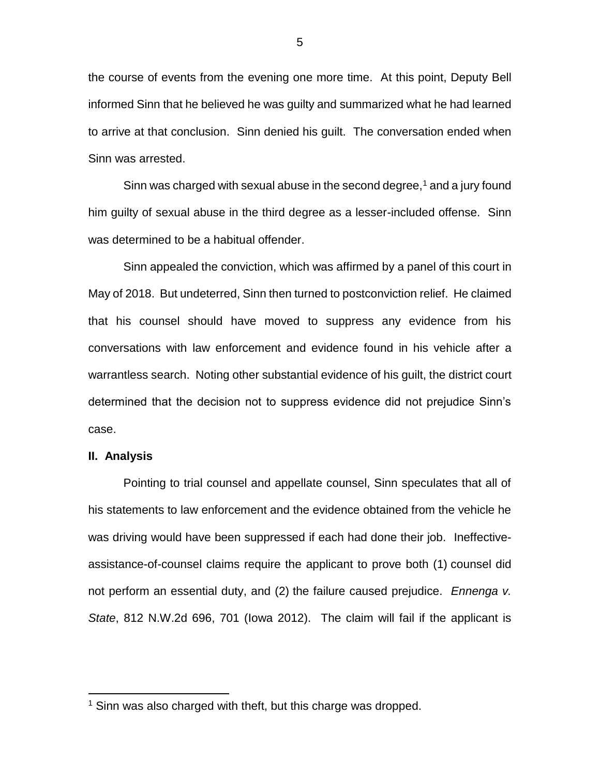the course of events from the evening one more time. At this point, Deputy Bell informed Sinn that he believed he was guilty and summarized what he had learned to arrive at that conclusion. Sinn denied his guilt. The conversation ended when Sinn was arrested.

Sinn was charged with sexual abuse in the second degree,<sup>1</sup> and a jury found him guilty of sexual abuse in the third degree as a lesser-included offense. Sinn was determined to be a habitual offender.

Sinn appealed the conviction, which was affirmed by a panel of this court in May of 2018. But undeterred, Sinn then turned to postconviction relief. He claimed that his counsel should have moved to suppress any evidence from his conversations with law enforcement and evidence found in his vehicle after a warrantless search. Noting other substantial evidence of his guilt, the district court determined that the decision not to suppress evidence did not prejudice Sinn's case.

### **II. Analysis**

 $\overline{a}$ 

Pointing to trial counsel and appellate counsel, Sinn speculates that all of his statements to law enforcement and the evidence obtained from the vehicle he was driving would have been suppressed if each had done their job. Ineffectiveassistance-of-counsel claims require the applicant to prove both (1) counsel did not perform an essential duty, and (2) the failure caused prejudice. *Ennenga v. State*, 812 N.W.2d 696, 701 (Iowa 2012). The claim will fail if the applicant is

<sup>&</sup>lt;sup>1</sup> Sinn was also charged with theft, but this charge was dropped.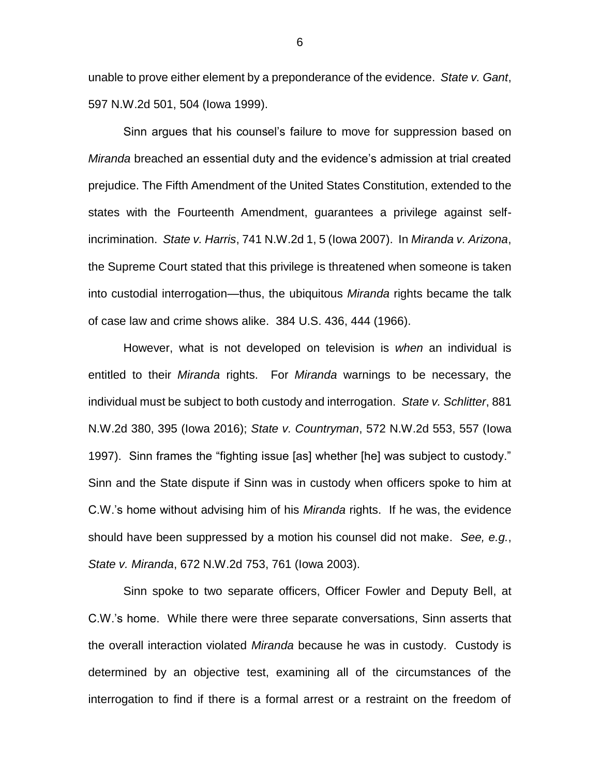unable to prove either element by a preponderance of the evidence. *State v. Gant*, 597 N.W.2d 501, 504 (Iowa 1999).

Sinn argues that his counsel's failure to move for suppression based on *Miranda* breached an essential duty and the evidence's admission at trial created prejudice. The Fifth Amendment of the United States Constitution, extended to the states with the Fourteenth Amendment, guarantees a privilege against selfincrimination. *State v. Harris*, 741 N.W.2d 1, 5 (Iowa 2007). In *Miranda v. Arizona*, the Supreme Court stated that this privilege is threatened when someone is taken into custodial interrogation—thus, the ubiquitous *Miranda* rights became the talk of case law and crime shows alike. 384 U.S. 436, 444 (1966).

However, what is not developed on television is *when* an individual is entitled to their *Miranda* rights. For *Miranda* warnings to be necessary, the individual must be subject to both custody and interrogation. *State v. Schlitter*, 881 N.W.2d 380, 395 (Iowa 2016); *State v. Countryman*, 572 N.W.2d 553, 557 (Iowa 1997). Sinn frames the "fighting issue [as] whether [he] was subject to custody." Sinn and the State dispute if Sinn was in custody when officers spoke to him at C.W.'s home without advising him of his *Miranda* rights. If he was, the evidence should have been suppressed by a motion his counsel did not make. *See, e.g.*, *State v. Miranda*, 672 N.W.2d 753, 761 (Iowa 2003).

Sinn spoke to two separate officers, Officer Fowler and Deputy Bell, at C.W.'s home. While there were three separate conversations, Sinn asserts that the overall interaction violated *Miranda* because he was in custody. Custody is determined by an objective test, examining all of the circumstances of the interrogation to find if there is a formal arrest or a restraint on the freedom of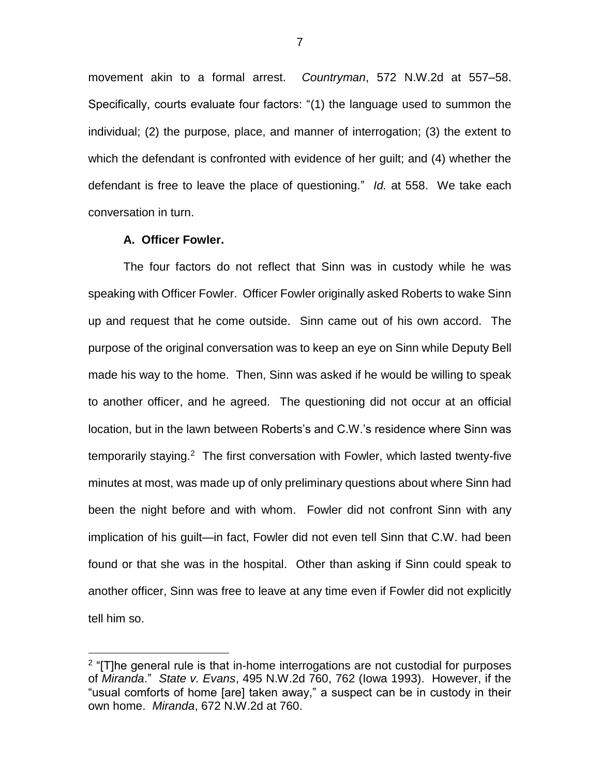movement akin to a formal arrest. *Countryman*, 572 N.W.2d at 557–58. Specifically, courts evaluate four factors: "(1) the language used to summon the individual; (2) the purpose, place, and manner of interrogation; (3) the extent to which the defendant is confronted with evidence of her guilt; and (4) whether the defendant is free to leave the place of questioning." *Id.* at 558. We take each conversation in turn.

### **A. Officer Fowler.**

 $\overline{a}$ 

The four factors do not reflect that Sinn was in custody while he was speaking with Officer Fowler. Officer Fowler originally asked Roberts to wake Sinn up and request that he come outside. Sinn came out of his own accord. The purpose of the original conversation was to keep an eye on Sinn while Deputy Bell made his way to the home. Then, Sinn was asked if he would be willing to speak to another officer, and he agreed. The questioning did not occur at an official location, but in the lawn between Roberts's and C.W.'s residence where Sinn was temporarily staying.<sup>2</sup> The first conversation with Fowler, which lasted twenty-five minutes at most, was made up of only preliminary questions about where Sinn had been the night before and with whom. Fowler did not confront Sinn with any implication of his guilt—in fact, Fowler did not even tell Sinn that C.W. had been found or that she was in the hospital. Other than asking if Sinn could speak to another officer, Sinn was free to leave at any time even if Fowler did not explicitly tell him so.

<sup>&</sup>lt;sup>2</sup> "[T]he general rule is that in-home interrogations are not custodial for purposes of *Miranda*." *State v. Evans*, 495 N.W.2d 760, 762 (Iowa 1993). However, if the "usual comforts of home [are] taken away," a suspect can be in custody in their own home. *Miranda*, 672 N.W.2d at 760.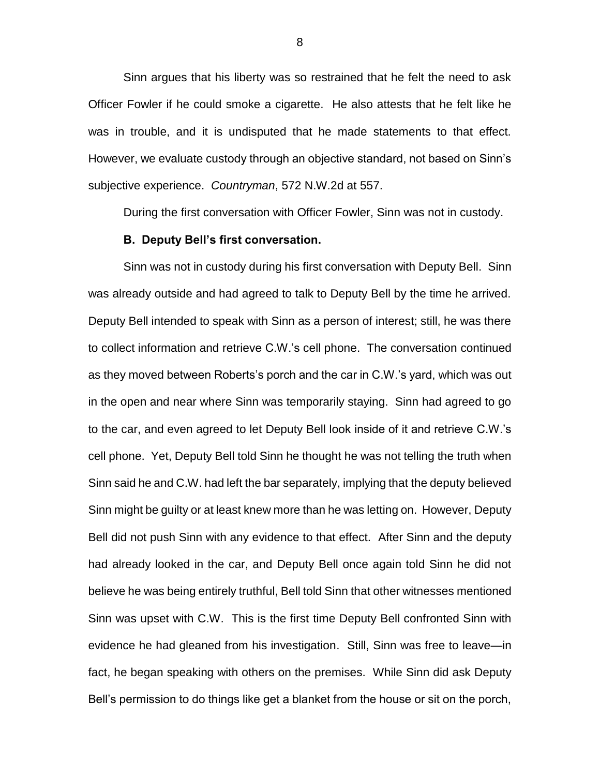Sinn argues that his liberty was so restrained that he felt the need to ask Officer Fowler if he could smoke a cigarette. He also attests that he felt like he was in trouble, and it is undisputed that he made statements to that effect. However, we evaluate custody through an objective standard, not based on Sinn's subjective experience. *Countryman*, 572 N.W.2d at 557.

During the first conversation with Officer Fowler, Sinn was not in custody.

#### **B. Deputy Bell's first conversation.**

Sinn was not in custody during his first conversation with Deputy Bell. Sinn was already outside and had agreed to talk to Deputy Bell by the time he arrived. Deputy Bell intended to speak with Sinn as a person of interest; still, he was there to collect information and retrieve C.W.'s cell phone. The conversation continued as they moved between Roberts's porch and the car in C.W.'s yard, which was out in the open and near where Sinn was temporarily staying. Sinn had agreed to go to the car, and even agreed to let Deputy Bell look inside of it and retrieve C.W.'s cell phone. Yet, Deputy Bell told Sinn he thought he was not telling the truth when Sinn said he and C.W. had left the bar separately, implying that the deputy believed Sinn might be guilty or at least knew more than he was letting on. However, Deputy Bell did not push Sinn with any evidence to that effect. After Sinn and the deputy had already looked in the car, and Deputy Bell once again told Sinn he did not believe he was being entirely truthful, Bell told Sinn that other witnesses mentioned Sinn was upset with C.W. This is the first time Deputy Bell confronted Sinn with evidence he had gleaned from his investigation. Still, Sinn was free to leave—in fact, he began speaking with others on the premises. While Sinn did ask Deputy Bell's permission to do things like get a blanket from the house or sit on the porch,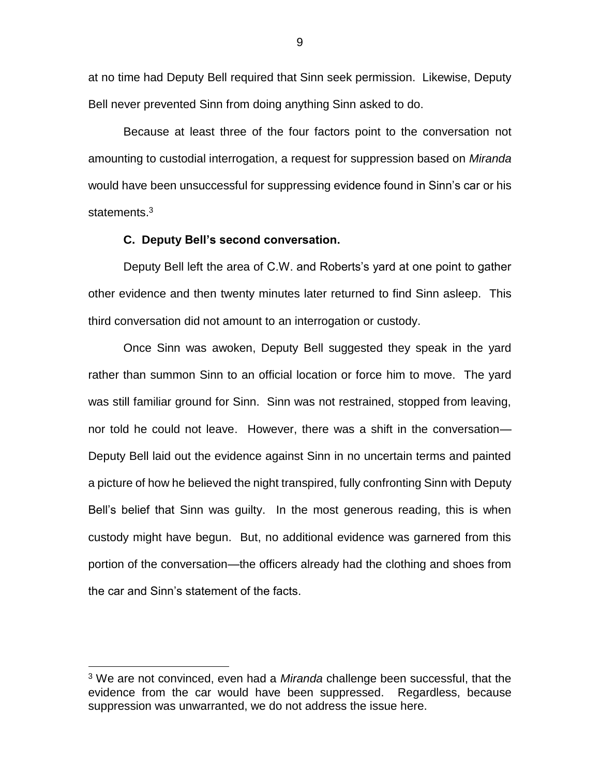at no time had Deputy Bell required that Sinn seek permission. Likewise, Deputy Bell never prevented Sinn from doing anything Sinn asked to do.

Because at least three of the four factors point to the conversation not amounting to custodial interrogation, a request for suppression based on *Miranda*  would have been unsuccessful for suppressing evidence found in Sinn's car or his statements.<sup>3</sup>

## **C. Deputy Bell's second conversation.**

Deputy Bell left the area of C.W. and Roberts's yard at one point to gather other evidence and then twenty minutes later returned to find Sinn asleep. This third conversation did not amount to an interrogation or custody.

Once Sinn was awoken, Deputy Bell suggested they speak in the yard rather than summon Sinn to an official location or force him to move. The yard was still familiar ground for Sinn. Sinn was not restrained, stopped from leaving, nor told he could not leave. However, there was a shift in the conversation— Deputy Bell laid out the evidence against Sinn in no uncertain terms and painted a picture of how he believed the night transpired, fully confronting Sinn with Deputy Bell's belief that Sinn was guilty. In the most generous reading, this is when custody might have begun. But, no additional evidence was garnered from this portion of the conversation—the officers already had the clothing and shoes from the car and Sinn's statement of the facts.

 $\overline{a}$ 

<sup>3</sup> We are not convinced, even had a *Miranda* challenge been successful, that the evidence from the car would have been suppressed. Regardless, because suppression was unwarranted, we do not address the issue here.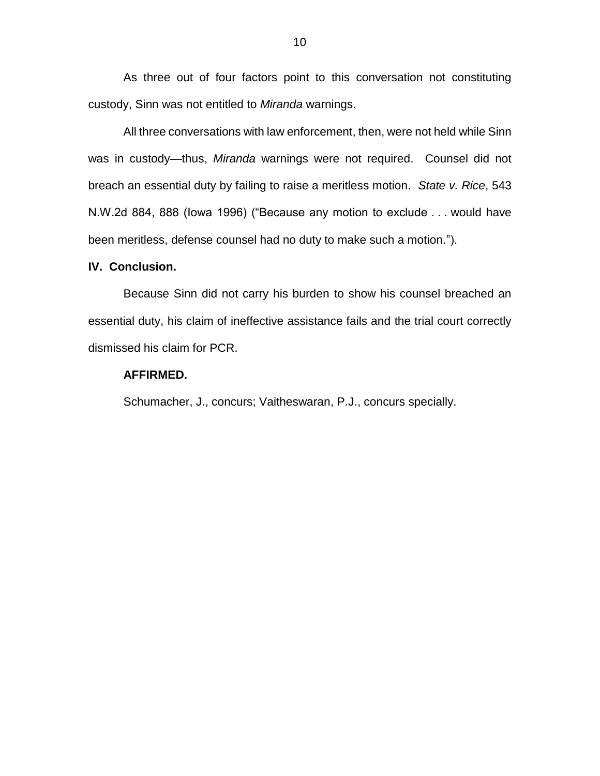As three out of four factors point to this conversation not constituting custody, Sinn was not entitled to *Miranda* warnings.

All three conversations with law enforcement, then, were not held while Sinn was in custody—thus, *Miranda* warnings were not required. Counsel did not breach an essential duty by failing to raise a meritless motion. *State v. Rice*, 543 N.W.2d 884, 888 (Iowa 1996) ("Because any motion to exclude . . . would have been meritless, defense counsel had no duty to make such a motion.").

## **IV. Conclusion.**

Because Sinn did not carry his burden to show his counsel breached an essential duty, his claim of ineffective assistance fails and the trial court correctly dismissed his claim for PCR.

## **AFFIRMED.**

Schumacher, J., concurs; Vaitheswaran, P.J., concurs specially.